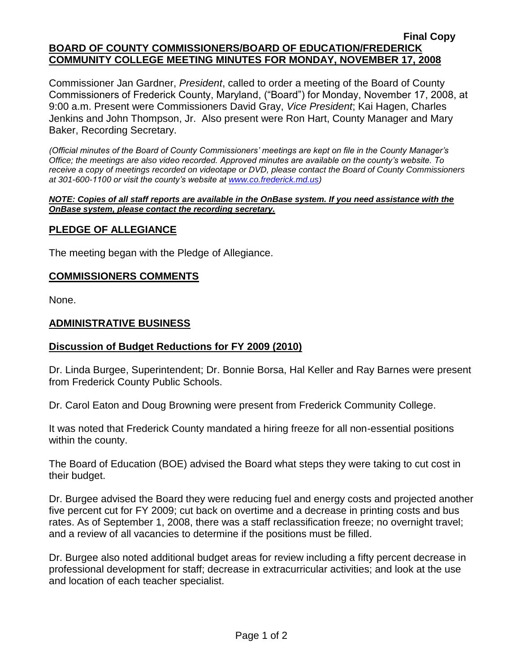#### **Final Copy BOARD OF COUNTY COMMISSIONERS/BOARD OF EDUCATION/FREDERICK COMMUNITY COLLEGE MEETING MINUTES FOR MONDAY, NOVEMBER 17, 2008**

Commissioner Jan Gardner, *President*, called to order a meeting of the Board of County Commissioners of Frederick County, Maryland, ("Board") for Monday, November 17, 2008, at 9:00 a.m. Present were Commissioners David Gray, *Vice President*; Kai Hagen, Charles Jenkins and John Thompson, Jr. Also present were Ron Hart, County Manager and Mary Baker, Recording Secretary.

*(Official minutes of the Board of County Commissioners' meetings are kept on file in the County Manager's Office; the meetings are also video recorded. Approved minutes are available on the county's website. To receive a copy of meetings recorded on videotape or DVD, please contact the Board of County Commissioners at 301-600-1100 or visit the county's website at [www.co.frederick.md.us\)](http://www.co.frederick.md.us/)*

#### *NOTE: Copies of all staff reports are available in the OnBase system. If you need assistance with the OnBase system, please contact the recording secretary.*

### **PLEDGE OF ALLEGIANCE**

The meeting began with the Pledge of Allegiance.

### **COMMISSIONERS COMMENTS**

None.

### **ADMINISTRATIVE BUSINESS**

### **Discussion of Budget Reductions for FY 2009 (2010)**

Dr. Linda Burgee, Superintendent; Dr. Bonnie Borsa, Hal Keller and Ray Barnes were present from Frederick County Public Schools.

Dr. Carol Eaton and Doug Browning were present from Frederick Community College.

It was noted that Frederick County mandated a hiring freeze for all non-essential positions within the county.

The Board of Education (BOE) advised the Board what steps they were taking to cut cost in their budget.

Dr. Burgee advised the Board they were reducing fuel and energy costs and projected another five percent cut for FY 2009; cut back on overtime and a decrease in printing costs and bus rates. As of September 1, 2008, there was a staff reclassification freeze; no overnight travel; and a review of all vacancies to determine if the positions must be filled.

Dr. Burgee also noted additional budget areas for review including a fifty percent decrease in professional development for staff; decrease in extracurricular activities; and look at the use and location of each teacher specialist.